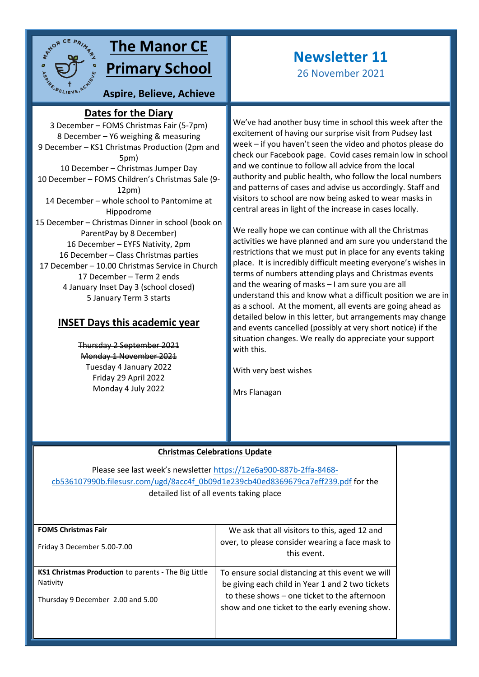

## **The Manor CE Primary School**

**Aspire, Believe, Achieve**

### **Dates for the Diary**

3 December – FOMS Christmas Fair (5-7pm) **sky**8 December – Y6 weighing & measuring 9 December – KS1 Christmas Production (2pm and 5pm) 10 December – Christmas Jumper Day 10 December – FOMS Children's Christmas Sale (9- 12pm) 14 December – whole school to Pantomime at Hippodrome 15 December – Christmas Dinner in school (book on ParentPay by 8 December) 16 December – EYFS Nativity, 2pm 16 December – Class Christmas parties 17 December – 10.00 Christmas Service in Church 17 December – Term 2 ends 4 January Inset Day 3 (school closed) 5 January Term 3 starts

### **INSET Days this academic year**

Thursday 2 September 2021 Monday 1 November 2021 Tuesday 4 January 2022 Friday 29 April 2022 Monday 4 July 2022

# **Newsletter 11**

26 November 2021

We've had another busy time in school this week after the excitement of having our surprise visit from Pudsey last week – if you haven't seen the video and photos please do check our Facebook page. Covid cases remain low in school and we continue to follow all advice from the local authority and public health, who follow the local numbers and patterns of cases and advise us accordingly. Staff and visitors to school are now being asked to wear masks in central areas in light of the increase in cases locally.

We really hope we can continue with all the Christmas activities we have planned and am sure you understand the restrictions that we must put in place for any events taking place. It is incredibly difficult meeting everyone's wishes in terms of numbers attending plays and Christmas events and the wearing of masks – I am sure you are all understand this and know what a difficult position we are in as a school. At the moment, all events are going ahead as detailed below in this letter, but arrangements may change and events cancelled (possibly at very short notice) if the situation changes. We really do appreciate your support with this.

With very best wishes

Mrs Flanagan

#### **Christmas Celebrations Update**

Please see last week's newsletter [https://12e6a900-887b-2ffa-8468](https://12e6a900-887b-2ffa-8468-cb536107990b.filesusr.com/ugd/8acc4f_0b09d1e239cb40ed8369679ca7eff239.pdf) [cb536107990b.filesusr.com/ugd/8acc4f\\_0b09d1e239cb40ed8369679ca7eff239.pdf](https://12e6a900-887b-2ffa-8468-cb536107990b.filesusr.com/ugd/8acc4f_0b09d1e239cb40ed8369679ca7eff239.pdf) for the detailed list of all events taking place

| <b>FOMS Christmas Fair</b>                           | We ask that all visitors to this, aged 12 and                                                  |
|------------------------------------------------------|------------------------------------------------------------------------------------------------|
| Friday 3 December 5.00-7.00                          | over, to please consider wearing a face mask to<br>this event.                                 |
| KS1 Christmas Production to parents - The Big Little | To ensure social distancing at this event we will                                              |
| Nativity                                             | be giving each child in Year 1 and 2 two tickets                                               |
| Thursday 9 December 2.00 and 5.00                    | to these shows - one ticket to the afternoon<br>show and one ticket to the early evening show. |
|                                                      |                                                                                                |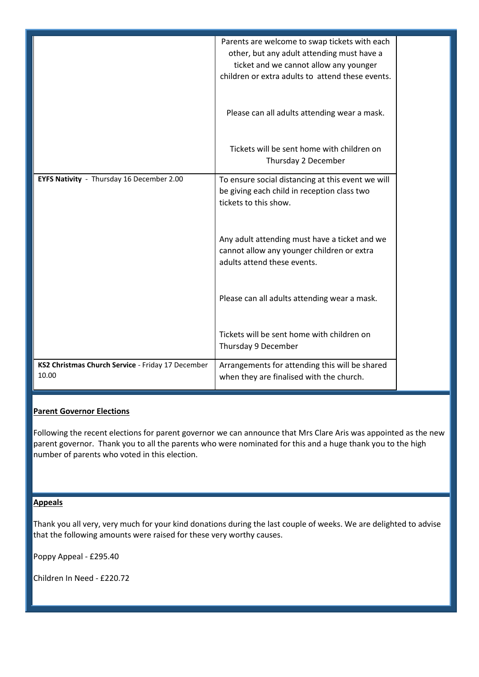|                                                            | Parents are welcome to swap tickets with each<br>other, but any adult attending must have a<br>ticket and we cannot allow any younger<br>children or extra adults to attend these events. |
|------------------------------------------------------------|-------------------------------------------------------------------------------------------------------------------------------------------------------------------------------------------|
|                                                            | Please can all adults attending wear a mask.                                                                                                                                              |
|                                                            | Tickets will be sent home with children on<br>Thursday 2 December                                                                                                                         |
| EYFS Nativity - Thursday 16 December 2.00                  | To ensure social distancing at this event we will<br>be giving each child in reception class two<br>tickets to this show.                                                                 |
|                                                            | Any adult attending must have a ticket and we<br>cannot allow any younger children or extra<br>adults attend these events.                                                                |
|                                                            | Please can all adults attending wear a mask.                                                                                                                                              |
|                                                            | Tickets will be sent home with children on<br>Thursday 9 December                                                                                                                         |
| KS2 Christmas Church Service - Friday 17 December<br>10.00 | Arrangements for attending this will be shared<br>when they are finalised with the church.                                                                                                |

#### **Parent Governor Elections**

Following the recent elections for parent governor we can announce that Mrs Clare Aris was appointed as the new parent governor. Thank you to all the parents who were nominated for this and a huge thank you to the high number of parents who voted in this election.

#### **Appeals**

Thank you all very, very much for your kind donations during the last couple of weeks. We are delighted to advise that the following amounts were raised for these very worthy causes.

Poppy Appeal - £295.40

Children In Need - £220.72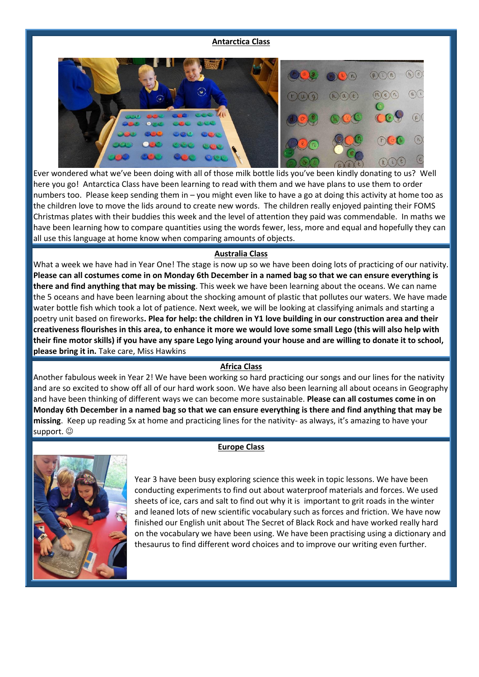#### **Antarctica Class**



Ever wondered what we've been doing with all of those milk bottle lids you've been kindly donating to us? Well here you go! Antarctica Class have been learning to read with them and we have plans to use them to order numbers too. Please keep sending them in – you might even like to have a go at doing this activity at home too as the children love to move the lids around to create new words. The children really enjoyed painting their FOMS Christmas plates with their buddies this week and the level of attention they paid was commendable. In maths we have been learning how to compare quantities using the words fewer, less, more and equal and hopefully they can all use this language at home know when comparing amounts of objects.

#### **Australia Class**

What a week we have had in Year One! The stage is now up so we have been doing lots of practicing of our nativity. **Please can all costumes come in on Monday 6th December in a named bag so that we can ensure everything is there and find anything that may be missing**. This week we have been learning about the oceans. We can name the 5 oceans and have been learning about the shocking amount of plastic that pollutes our waters. We have made water bottle fish which took a lot of patience. Next week, we will be looking at classifying animals and starting a poetry unit based on fireworks**. Plea for help: the children in Y1 love building in our construction area and their creativeness flourishes in this area, to enhance it more we would love some small Lego (this will also help with their fine motor skills) if you have any spare Lego lying around your house and are willing to donate it to school, please bring it in.** Take care, Miss Hawkins

#### **Africa Class**

Another fabulous week in Year 2! We have been working so hard practicing our songs and our lines for the nativity and are so excited to show off all of our hard work soon. We have also been learning all about oceans in Geography and have been thinking of different ways we can become more sustainable. **Please can all costumes come in on Monday 6th December in a named bag so that we can ensure everything is there and find anything that may be missing**. Keep up reading 5x at home and practicing lines for the nativity- as always, it's amazing to have your support.  $\odot$ 

#### **Europe Class**



Year 3 have been busy exploring science this week in topic lessons. We have been conducting experiments to find out about waterproof materials and forces. We used sheets of ice, cars and salt to find out why it is important to grit roads in the winter and leaned lots of new scientific vocabulary such as forces and friction. We have now finished our English unit about The Secret of Black Rock and have worked really hard on the vocabulary we have been using. We have been practising using a dictionary and thesaurus to find different word choices and to improve our writing even further.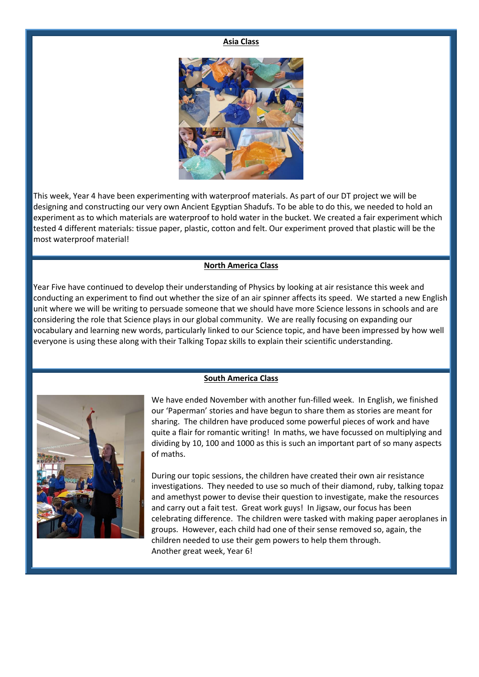#### **Asia Class**



This week, Year 4 have been experimenting with waterproof materials. As part of our DT project we will be designing and constructing our very own Ancient Egyptian Shadufs. To be able to do this, we needed to hold an experiment as to which materials are waterproof to hold water in the bucket. We created a fair experiment which tested 4 different materials: tissue paper, plastic, cotton and felt. Our experiment proved that plastic will be the most waterproof material!

#### **North America Class**

Year Five have continued to develop their understanding of Physics by looking at air resistance this week and conducting an experiment to find out whether the size of an air spinner affects its speed. We started a new English unit where we will be writing to persuade someone that we should have more Science lessons in schools and are considering the role that Science plays in our global community. We are really focusing on expanding our vocabulary and learning new words, particularly linked to our Science topic, and have been impressed by how well everyone is using these along with their Talking Topaz skills to explain their scientific understanding.





We have ended November with another fun-filled week. In English, we finished our 'Paperman' stories and have begun to share them as stories are meant for sharing. The children have produced some powerful pieces of work and have quite a flair for romantic writing! In maths, we have focussed on multiplying and dividing by 10, 100 and 1000 as this is such an important part of so many aspects of maths.

During our topic sessions, the children have created their own air resistance investigations. They needed to use so much of their diamond, ruby, talking topaz and amethyst power to devise their question to investigate, make the resources and carry out a fait test. Great work guys! In Jigsaw, our focus has been celebrating difference. The children were tasked with making paper aeroplanes in groups. However, each child had one of their sense removed so, again, the children needed to use their gem powers to help them through. Another great week, Year 6!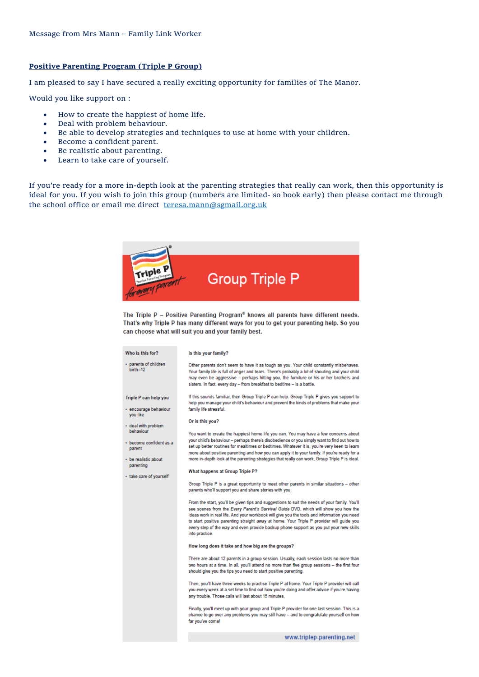#### **Positive Parenting Program (Triple P Group)**

I am pleased to say I have secured a really exciting opportunity for families of The Manor.

Would you like support on :

- How to create the happiest of home life.
- Deal with problem behaviour.
- Be able to develop strategies and techniques to use at home with your children.
- Become a confident parent.
- Be realistic about parenting.
- Learn to take care of yourself.

If you're ready for a more in-depth look at the parenting strategies that really can work, then this opportunity is ideal for you. If you wish to join this group (numbers are limited- so book early) then please contact me through the school office or email me direct [teresa.mann@sgmail.org.uk](mailto:teresa.mann@sgmail.org.uk)



The Triple P - Positive Parenting Program® knows all parents have different needs. That's why Triple P has many different ways for you to get your parenting help. So you can choose what will suit you and your family best.

| Who is this for?                               | Is this your family?                                                                                                                                                                                                                                                                                                                                                                                                                                                                       |
|------------------------------------------------|--------------------------------------------------------------------------------------------------------------------------------------------------------------------------------------------------------------------------------------------------------------------------------------------------------------------------------------------------------------------------------------------------------------------------------------------------------------------------------------------|
| · parents of children<br>birth-12              | Other parents don't seem to have it as tough as you. Your child constantly misbehaves.<br>Your family life is full of anger and tears. There's probably a lot of shouting and your child<br>may even be aggressive – perhaps hitting you, the furniture or his or her brothers and<br>sisters. In fact, every day - from breakfast to bedtime - is a battle.                                                                                                                               |
| Triple P can help you<br>· encourage behaviour | If this sounds familiar, then Group Triple P can help. Group Triple P gives you support to<br>help you manage your child's behaviour and prevent the kinds of problems that make your<br>family life stressful.                                                                                                                                                                                                                                                                            |
| you like                                       |                                                                                                                                                                                                                                                                                                                                                                                                                                                                                            |
| • deal with problem<br>behaviour               | Or is this you?                                                                                                                                                                                                                                                                                                                                                                                                                                                                            |
| · become confident as a<br>parent              | You want to create the happiest home life you can. You may have a few concerns about<br>your child's behaviour - perhaps there's disobedience or you simply want to find out how to<br>set up better routines for mealtimes or bedtimes. Whatever it is, you're very keen to learn<br>more about positive parenting and how you can apply it to your family. If you're ready for a                                                                                                         |
| • be realistic about<br>parenting              | more in-depth look at the parenting strategies that really can work, Group Triple P is ideal.                                                                                                                                                                                                                                                                                                                                                                                              |
| · take care of yourself                        | <b>What happens at Group Triple P?</b>                                                                                                                                                                                                                                                                                                                                                                                                                                                     |
|                                                | Group Triple P is a great opportunity to meet other parents in similar situations - other<br>parents who'll support you and share stories with you.                                                                                                                                                                                                                                                                                                                                        |
|                                                | From the start, you'll be given tips and suggestions to suit the needs of your family. You'll<br>see scenes from the Every Parent's Survival Guide DVD, which will show you how the<br>ideas work in real life. And your workbook will give you the tools and information you need<br>to start positive parenting straight away at home. Your Triple P provider will guide you<br>every step of the way and even provide backup phone support as you put your new skills<br>into practice. |
|                                                | How long does it take and how big are the groups?                                                                                                                                                                                                                                                                                                                                                                                                                                          |
|                                                | There are about 12 parents in a group session. Usually, each session lasts no more than<br>two hours at a time. In all, you'll attend no more than five group sessions - the first four<br>should give you the tips you need to start positive parenting.                                                                                                                                                                                                                                  |
|                                                | Then, you'll have three weeks to practise Triple P at home. Your Triple P provider will call<br>you every week at a set time to find out how you're doing and offer advice if you're having<br>any trouble. Those calls will last about 15 minutes.                                                                                                                                                                                                                                        |
|                                                | Finally, you'll meet up with your group and Triple P provider for one last session. This is a<br>chance to go over any problems you may still have – and to congratulate yourself on how<br>far you've come!                                                                                                                                                                                                                                                                               |
|                                                | www.triplep-parenting.net                                                                                                                                                                                                                                                                                                                                                                                                                                                                  |